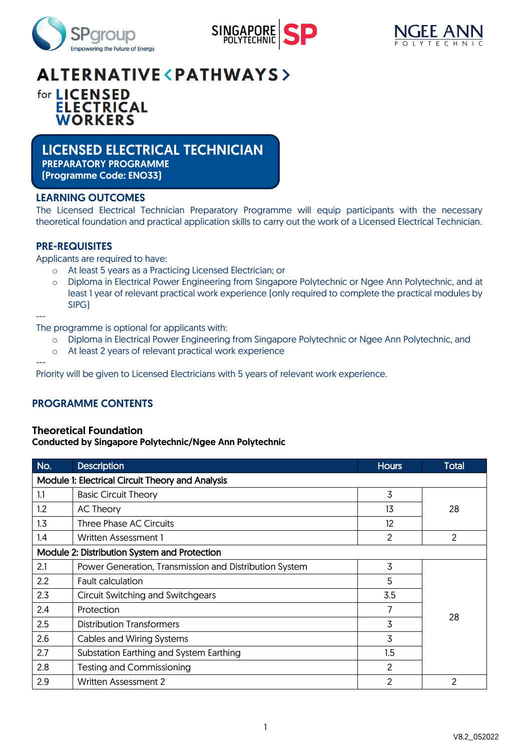





# **ALTERNATIVE <PATHWAYS>** for LICENSED **ELECTRICAL WORKERS**

# LICENSED ELECTRICAL TECHNICIAN

PREPARATORY PROGRAMME (Programme Code: ENO33)

# LEARNING OUTCOMES

The Licensed Electrical Technician Preparatory Programme will equip participants with the necessary theoretical foundation and practical application skills to carry out the work of a Licensed Electrical Technician.

# PRE-REQUISITES

Applicants are required to have:

- o At least 5 years as a Practicing Licensed Electrician; or
- o Diploma in Electrical Power Engineering from Singapore Polytechnic or Ngee Ann Polytechnic, and at least 1 year of relevant practical work experience (only required to complete the practical modules by SIPG)

---

The programme is optional for applicants with:

- o Diploma in Electrical Power Engineering from Singapore Polytechnic or Ngee Ann Polytechnic, and
- o At least 2 years of relevant practical work experience

--- Priority will be given to Licensed Electricians with 5 years of relevant work experience.

# PROGRAMME CONTENTS

## Theoretical Foundation

#### Conducted by Singapore Polytechnic/Ngee Ann Polytechnic

| No. | <b>Description</b>                                     | <b>Hours</b>   | Total |  |  |
|-----|--------------------------------------------------------|----------------|-------|--|--|
|     | Module 1: Electrical Circuit Theory and Analysis       |                |       |  |  |
| 1.1 | <b>Basic Circuit Theory</b>                            | 3              |       |  |  |
| 1.2 | <b>AC Theory</b>                                       | 1 <sub>3</sub> | 28    |  |  |
| 1.3 | Three Phase AC Circuits                                | 12             |       |  |  |
| 1.4 | <b>Written Assessment 1</b>                            | $\overline{2}$ | 2     |  |  |
|     | Module 2: Distribution System and Protection           |                |       |  |  |
| 2.1 | Power Generation, Transmission and Distribution System | 3              |       |  |  |
| 2.2 | <b>Fault calculation</b>                               | 5              |       |  |  |
| 2.3 | Circuit Switching and Switchgears                      | 3.5            |       |  |  |
| 2.4 | Protection                                             | 7              | 28    |  |  |
| 2.5 | <b>Distribution Transformers</b>                       | 3              |       |  |  |
| 2.6 | Cables and Wiring Systems                              | 3              |       |  |  |
| 2.7 | Substation Earthing and System Earthing                | 1.5            |       |  |  |
| 2.8 | <b>Testing and Commissioning</b>                       | 2              |       |  |  |
| 2.9 | <b>Written Assessment 2</b>                            | $\overline{2}$ | 2     |  |  |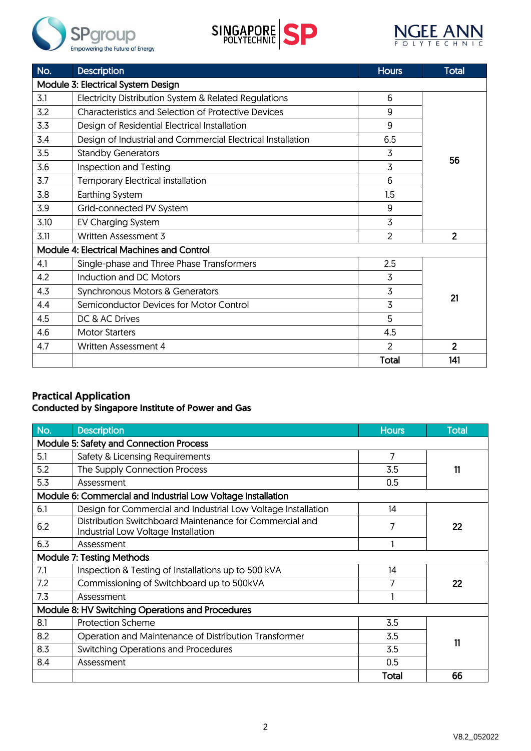





| No.                                | <b>Description</b>                                          | <b>Hours</b>   | <b>Total</b>   |  |  |
|------------------------------------|-------------------------------------------------------------|----------------|----------------|--|--|
| Module 3: Electrical System Design |                                                             |                |                |  |  |
| 3.1                                | Electricity Distribution System & Related Regulations       | 6              |                |  |  |
| 3.2                                | <b>Characteristics and Selection of Protective Devices</b>  | 9              |                |  |  |
| 3.3                                | Design of Residential Electrical Installation               | 9              |                |  |  |
| 3.4                                | Design of Industrial and Commercial Electrical Installation | 6.5            |                |  |  |
| 3.5                                | <b>Standby Generators</b>                                   | 3              | 56             |  |  |
| 3.6                                | Inspection and Testing                                      | 3              |                |  |  |
| 3.7                                | Temporary Electrical installation                           | 6              |                |  |  |
| 3.8                                | Earthing System                                             | 1.5            |                |  |  |
| 3.9                                | Grid-connected PV System                                    | 9              |                |  |  |
| 3.10                               | <b>EV Charging System</b>                                   | 3              |                |  |  |
| 3.11                               | <b>Written Assessment 3</b>                                 | $\overline{2}$ | $\overline{2}$ |  |  |
|                                    | Module 4: Electrical Machines and Control                   |                |                |  |  |
| 4.1                                | Single-phase and Three Phase Transformers                   | 2.5            |                |  |  |
| 4.2                                | Induction and DC Motors                                     | 3              |                |  |  |
| 4.3                                | Synchronous Motors & Generators                             | 3              |                |  |  |
| 4.4                                | Semiconductor Devices for Motor Control                     | $\overline{3}$ | 21             |  |  |
| 4.5                                | DC & AC Drives                                              | 5              |                |  |  |
| 4.6                                | <b>Motor Starters</b>                                       | 4.5            |                |  |  |
| 4.7                                | <b>Written Assessment 4</b>                                 | $\overline{2}$ | $\overline{2}$ |  |  |
|                                    |                                                             | Total          | 141            |  |  |

# Practical Application

#### Conducted by Singapore Institute of Power and Gas

| No.                                              | <b>Description</b>                                                                             | <b>Hours</b>   | <b>Total</b> |  |  |
|--------------------------------------------------|------------------------------------------------------------------------------------------------|----------------|--------------|--|--|
| <b>Module 5: Safety and Connection Process</b>   |                                                                                                |                |              |  |  |
| 5.1                                              | Safety & Licensing Requirements                                                                | $\overline{7}$ |              |  |  |
| 5.2                                              | The Supply Connection Process                                                                  | 3.5            | 11           |  |  |
| 5.3                                              | Assessment                                                                                     | 0.5            |              |  |  |
|                                                  | Module 6: Commercial and Industrial Low Voltage Installation                                   |                |              |  |  |
| 6.1                                              | Design for Commercial and Industrial Low Voltage Installation                                  | 14             |              |  |  |
| 6.2                                              | Distribution Switchboard Maintenance for Commercial and<br>Industrial Low Voltage Installation |                | 22           |  |  |
| 6.3                                              | Assessment                                                                                     |                |              |  |  |
|                                                  | <b>Module 7: Testing Methods</b>                                                               |                |              |  |  |
| 7.1                                              | Inspection & Testing of Installations up to 500 kVA                                            | 14             |              |  |  |
| 7.2                                              | Commissioning of Switchboard up to 500kVA                                                      | 7              | 22           |  |  |
| 7.3                                              | Assessment                                                                                     |                |              |  |  |
| Module 8: HV Switching Operations and Procedures |                                                                                                |                |              |  |  |
| 8.1                                              | <b>Protection Scheme</b>                                                                       | 3.5            |              |  |  |
| 8.2                                              | Operation and Maintenance of Distribution Transformer                                          | 3.5            |              |  |  |
| 8.3                                              | <b>Switching Operations and Procedures</b>                                                     | 3.5            | 11           |  |  |
| 8.4                                              | Assessment                                                                                     | 0.5            |              |  |  |
|                                                  |                                                                                                | Total          | 66           |  |  |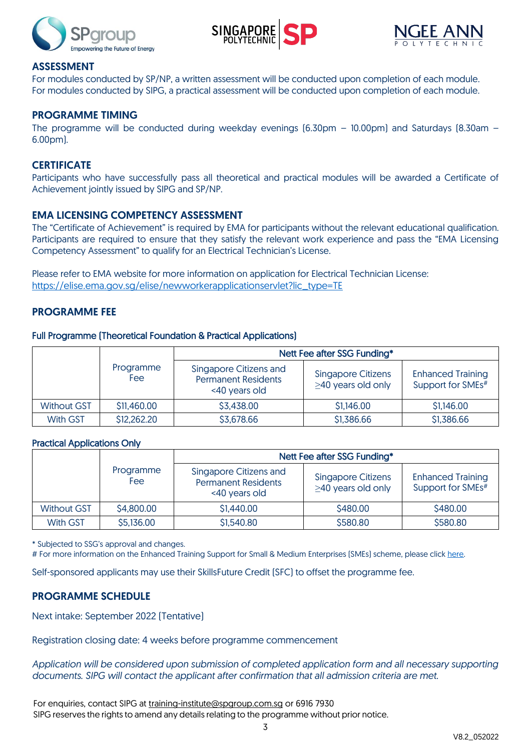





# ASSESSMENT

For modules conducted by SP/NP, a written assessment will be conducted upon completion of each module. For modules conducted by SIPG, a practical assessment will be conducted upon completion of each module.

# PROGRAMME TIMING

The programme will be conducted during weekday evenings (6.30pm – 10.00pm) and Saturdays (8.30am – 6.00pm).

# **CERTIFICATE**

Participants who have successfully pass all theoretical and practical modules will be awarded a Certificate of Achievement jointly issued by SIPG and SP/NP.

### EMA LICENSING COMPETENCY ASSESSMENT

The "Certificate of Achievement" is required by EMA for participants without the relevant educational qualification. Participants are required to ensure that they satisfy the relevant work experience and pass the "EMA Licensing Competency Assessment" to qualify for an Electrical Technician's License.

Please refer to EMA website for more information on application for Electrical Technician License: [https://elise.ema.gov.sg/elise/newworkerapplicationservlet?lic\\_type=TE](https://elise.ema.gov.sg/elise/newworkerapplicationservlet?lic_type=TE)

## PROGRAMME FEE

#### Full Programme (Theoretical Foundation & Practical Applications)

|                    |                  | Nett Fee after SSG Funding*                                                  |                                                       |                                               |  |
|--------------------|------------------|------------------------------------------------------------------------------|-------------------------------------------------------|-----------------------------------------------|--|
|                    | Programme<br>Fee | <b>Singapore Citizens and</b><br><b>Permanent Residents</b><br><40 years old | <b>Singapore Citizens</b><br>$\geq$ 40 years old only | <b>Enhanced Training</b><br>Support for SMEs# |  |
| <b>Without GST</b> | \$11,460.00      | \$3,438.00                                                                   | \$1,146.00                                            | \$1,146.00                                    |  |
| <b>With GST</b>    | \$12,262.20      | \$3,678.66                                                                   | \$1,386.66                                            | \$1,386.66                                    |  |

#### Practical Applications Only

|                    |                  | Nett Fee after SSG Funding*                                                  |                                                       |                                               |  |
|--------------------|------------------|------------------------------------------------------------------------------|-------------------------------------------------------|-----------------------------------------------|--|
|                    | Programme<br>Fee | <b>Singapore Citizens and</b><br><b>Permanent Residents</b><br><40 years old | <b>Singapore Citizens</b><br>$\geq$ 40 years old only | <b>Enhanced Training</b><br>Support for SMEs# |  |
| <b>Without GST</b> | \$4,800.00       | \$1,440.00                                                                   | \$480.00                                              | \$480.00                                      |  |
| <b>With GST</b>    | \$5,136.00       | \$1,540.80                                                                   | \$580.80                                              | \$580.80                                      |  |

\* Subjected to SSG's approval and changes.

# For more information on the Enhanced Training Support for Small & Medium Enterprises (SMEs) scheme, please click [here.](https://www.ssg.gov.sg/programmes-and-initiatives/funding/enhanced-training-support-for-smes1.html)

Self-sponsored applicants may use their SkillsFuture Credit (SFC) to offset the programme fee.

## PROGRAMME SCHEDULE

Next intake: September 2022 (Tentative)

Registration closing date: 4 weeks before programme commencement

*Application will be considered upon submission of completed application form and all necessary supporting documents. SIPG will contact the applicant after confirmation that all admission criteria are met.*

For enquiries, contact SIPG at training-institute@spgroup.com.sg or 6916 7930 SIPG reserves the rights to amend any details relating to the programme without prior notice.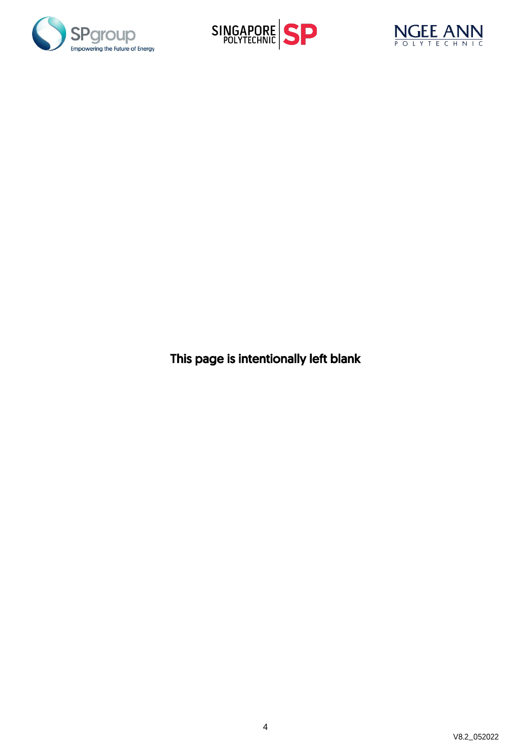





This page is intentionally left blank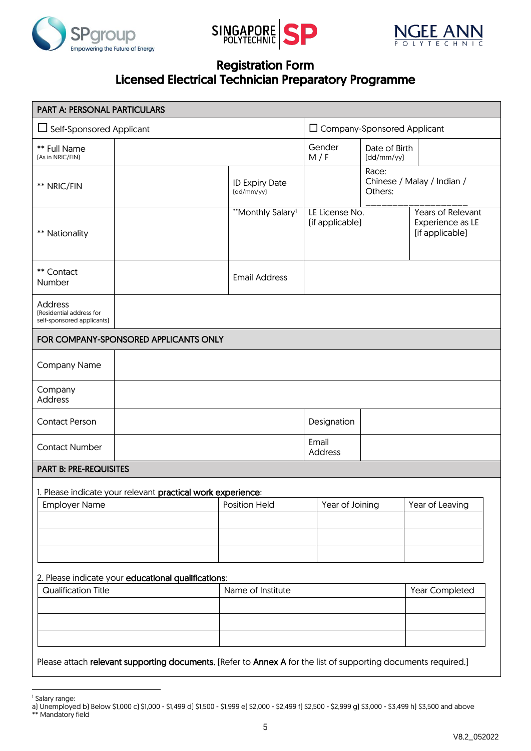





# Registration Form Licensed Electrical Technician Preparatory Programme

| PART A: PERSONAL PARTICULARS                                                                    |                                                                                                                |                               |                                                |                             |                                                          |
|-------------------------------------------------------------------------------------------------|----------------------------------------------------------------------------------------------------------------|-------------------------------|------------------------------------------------|-----------------------------|----------------------------------------------------------|
| □ Self-Sponsored Applicant                                                                      |                                                                                                                |                               | $\Box$ Company-Sponsored Applicant             |                             |                                                          |
| ** Full Name<br>[As in NRIC/FIN]                                                                |                                                                                                                |                               | Gender<br>M/F                                  | Date of Birth<br>[dd/mm/yy] |                                                          |
| ** NRIC/FIN                                                                                     | <b>ID Expiry Date</b><br>(dd/mm/yy]                                                                            |                               | Race:<br>Chinese / Malay / Indian /<br>Others: |                             |                                                          |
| ** Nationality                                                                                  |                                                                                                                | **Monthly Salary <sup>1</sup> | LE License No.<br>(if applicable)              |                             | Years of Relevant<br>Experience as LE<br>(if applicable) |
| ** Contact<br>Number                                                                            |                                                                                                                | <b>Email Address</b>          |                                                |                             |                                                          |
| <b>Address</b><br>[Residential address for<br>self-sponsored applicants)                        |                                                                                                                |                               |                                                |                             |                                                          |
|                                                                                                 | FOR COMPANY-SPONSORED APPLICANTS ONLY                                                                          |                               |                                                |                             |                                                          |
| Company Name                                                                                    |                                                                                                                |                               |                                                |                             |                                                          |
| Company<br><b>Address</b>                                                                       |                                                                                                                |                               |                                                |                             |                                                          |
| <b>Contact Person</b>                                                                           |                                                                                                                |                               | Designation                                    |                             |                                                          |
| <b>Contact Number</b>                                                                           |                                                                                                                |                               | Email<br>Address                               |                             |                                                          |
| <b>PART B: PRE-REQUISITES</b>                                                                   |                                                                                                                |                               |                                                |                             |                                                          |
|                                                                                                 | 1. Please indicate your relevant practical work experience:                                                    |                               |                                                |                             |                                                          |
| <b>Employer Name</b>                                                                            |                                                                                                                | <b>Position Held</b>          | Year of Joining                                |                             | Year of Leaving                                          |
|                                                                                                 |                                                                                                                |                               |                                                |                             |                                                          |
|                                                                                                 |                                                                                                                |                               |                                                |                             |                                                          |
|                                                                                                 |                                                                                                                |                               |                                                |                             |                                                          |
| 2. Please indicate your educational qualifications:<br>Qualification Title<br>Name of Institute |                                                                                                                |                               |                                                |                             | Year Completed                                           |
|                                                                                                 |                                                                                                                |                               |                                                |                             |                                                          |
|                                                                                                 |                                                                                                                |                               |                                                |                             |                                                          |
|                                                                                                 |                                                                                                                |                               |                                                |                             |                                                          |
|                                                                                                 | Please attach relevant supporting documents. (Refer to Annex A for the list of supporting documents required.) |                               |                                                |                             |                                                          |

<sup>&</sup>lt;sup>1</sup> Salary range:

a) Unemployed b) Below \$1,000 c) \$1,000 - \$1,499 d) \$1,500 - \$1,999 e) \$2,000 - \$2,499 f) \$2,500 - \$2,999 g) \$3,000 - \$3,499 h) \$3,500 and above \*\* Mandatory field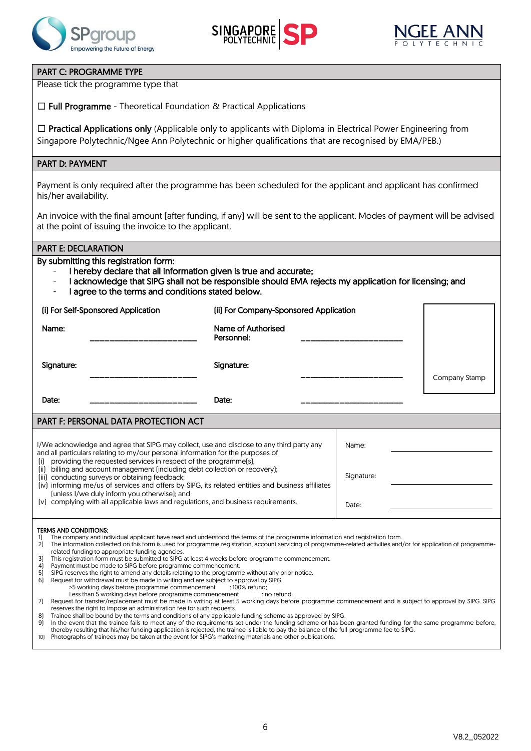





#### PART C: PROGRAMME TYPE

Please tick the programme type that

☐ Full Programme - Theoretical Foundation & Practical Applications

☐ Practical Applications only (Applicable only to applicants with Diploma in Electrical Power Engineering from Singapore Polytechnic/Ngee Ann Polytechnic or higher qualifications that are recognised by EMA/PEB.)

#### PART D: PAYMENT

Payment is only required after the programme has been scheduled for the applicant and applicant has confirmed his/her availability.

An invoice with the final amount (after funding, if any) will be sent to the applicant. Modes of payment will be advised at the point of issuing the invoice to the applicant.

PART E: DECLARATION

By submitting this registration form:

- I hereby declare that all information given is true and accurate;
- I acknowledge that SIPG shall not be responsible should EMA rejects my application for licensing; and
- I agree to the terms and conditions stated below.

| (i) For Self-Sponsored Application                                                                                                                                                                                                                                                                                                           | (ii) For Company-Sponsored Application |            |               |
|----------------------------------------------------------------------------------------------------------------------------------------------------------------------------------------------------------------------------------------------------------------------------------------------------------------------------------------------|----------------------------------------|------------|---------------|
| Name:                                                                                                                                                                                                                                                                                                                                        | Name of Authorised<br>Personnel:       |            |               |
| Signature:                                                                                                                                                                                                                                                                                                                                   | Signature:                             |            | Company Stamp |
| Date:                                                                                                                                                                                                                                                                                                                                        | Date:                                  |            |               |
| <b>PART F: PERSONAL DATA PROTECTION ACT</b>                                                                                                                                                                                                                                                                                                  |                                        |            |               |
| I/We acknowledge and agree that SIPG may collect, use and disclose to any third party any<br>and all particulars relating to my/our personal information for the purposes of                                                                                                                                                                 |                                        | Name:      |               |
| providing the requested services in respect of the programme(s),<br>$\lceil i \rceil$<br>billing and account management (including debt collection or recovery);<br>fii)<br>(iii) conducting surveys or obtaining feedback;<br>(iv) informing me/us of services and offers by SIPG, its related entities and business affiliates             |                                        | Signature: |               |
| (unless I/we duly inform you otherwise); and<br>(v) complying with all applicable laws and regulations, and business requirements.                                                                                                                                                                                                           |                                        | Date:      |               |
| <b>TERMS AND CONDITIONS:</b><br>The company and individual applicant have read and understood the terms of the programme information and registration form.<br>11<br>The information collected on this form is used for programme registration, account servicing of programme-related activities and/or for application of programme-<br>21 |                                        |            |               |

- related funding to appropriate funding agencies.
- 3) This registration form must be submitted to SIPG at least 4 weeks before programme commencement.
- 4) Payment must be made to SIPG before programme commencement.<br>5) SIPG reserves the right to amend any details relating to the programm
- 5) SIPG reserves the right to amend any details relating to the programme without any prior notice.<br>6) Request for withdrawal must be made in writing and are subject to approval by SIPG.
- Request for withdrawal must be made in writing and are subject to approval by SIPG.<br>5) S working days before programme commencement : 100% refund: >5 working days before programme commencement Less than 5 working days before programme commencement : no refund.
- 7) Request for transfer/replacement must be made in writing at least 5 working days before programme commencement and is subject to approval by SIPG. SIPG reserves the right to impose an administration fee for such requests.
- 8) Trainee shall be bound by the terms and conditions of any applicable funding scheme as approved by SIPG.<br>9) In the event that the trainee fails to meet any of the requirements set under the funding scheme or has be
- In the event that the trainee fails to meet any of the requirements set under the funding scheme or has been granted funding for the same programme before, thereby resulting that his/her funding application is rejected, the trainee is liable to pay the balance of the full programme fee to SIPG.
- 10) Photographs of trainees may be taken at the event for SIPG's marketing materials and other publications.